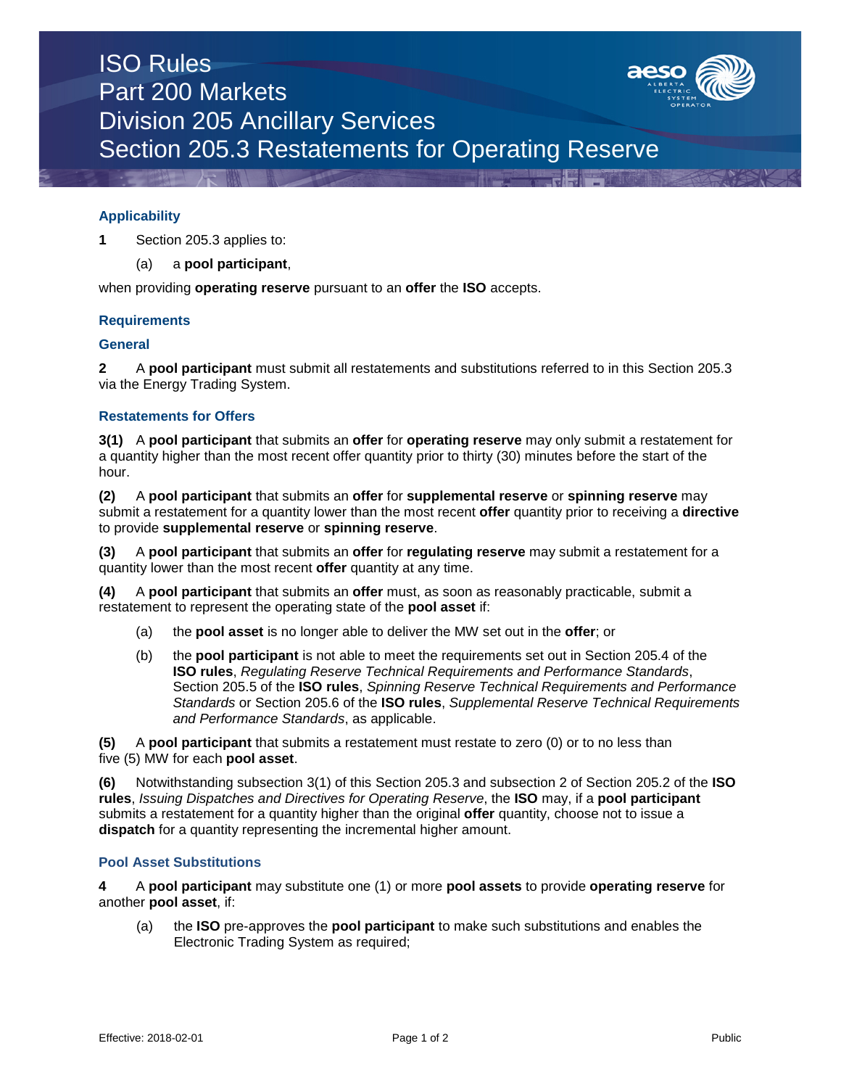# ISO Rules Part 200 Markets Division 205 Ancillary Services Section 205.3 Restatements for Operating Reserve



**1** Section 205.3 applies to:

(a) a **pool participant**,

when providing **operating reserve** pursuant to an **offer** the **ISO** accepts.

### **Requirements**

### **General**

**2** A **pool participant** must submit all restatements and substitutions referred to in this Section 205.3 via the Energy Trading System.

### **Restatements for Offers**

**3(1)** A **pool participant** that submits an **offer** for **operating reserve** may only submit a restatement for a quantity higher than the most recent offer quantity prior to thirty (30) minutes before the start of the hour.

**(2)** A **pool participant** that submits an **offer** for **supplemental reserve** or **spinning reserve** may submit a restatement for a quantity lower than the most recent **offer** quantity prior to receiving a **directive** to provide **supplemental reserve** or **spinning reserve**.

**(3)** A **pool participant** that submits an **offer** for **regulating reserve** may submit a restatement for a quantity lower than the most recent **offer** quantity at any time.

**(4)** A **pool participant** that submits an **offer** must, as soon as reasonably practicable, submit a restatement to represent the operating state of the **pool asset** if:

- (a) the **pool asset** is no longer able to deliver the MW set out in the **offer**; or
- (b) the **pool participant** is not able to meet the requirements set out in Section 205.4 of the **ISO rules**, *Regulating Reserve Technical Requirements and Performance Standards*, Section 205.5 of the **ISO rules**, *Spinning Reserve Technical Requirements and Performance Standards* or Section 205.6 of the **ISO rules**, *Supplemental Reserve Technical Requirements and Performance Standards*, as applicable.

**(5)** A **pool participant** that submits a restatement must restate to zero (0) or to no less than five (5) MW for each **pool asset**.

**(6)** Notwithstanding subsection 3(1) of this Section 205.3 and subsection 2 of Section 205.2 of the **ISO rules**, *Issuing Dispatches and Directives for Operating Reserve*, the **ISO** may, if a **pool participant** submits a restatement for a quantity higher than the original **offer** quantity, choose not to issue a **dispatch** for a quantity representing the incremental higher amount.

### **Pool Asset Substitutions**

**4** A **pool participant** may substitute one (1) or more **pool assets** to provide **operating reserve** for another **pool asset**, if:

(a) the **ISO** pre-approves the **pool participant** to make such substitutions and enables the Electronic Trading System as required;